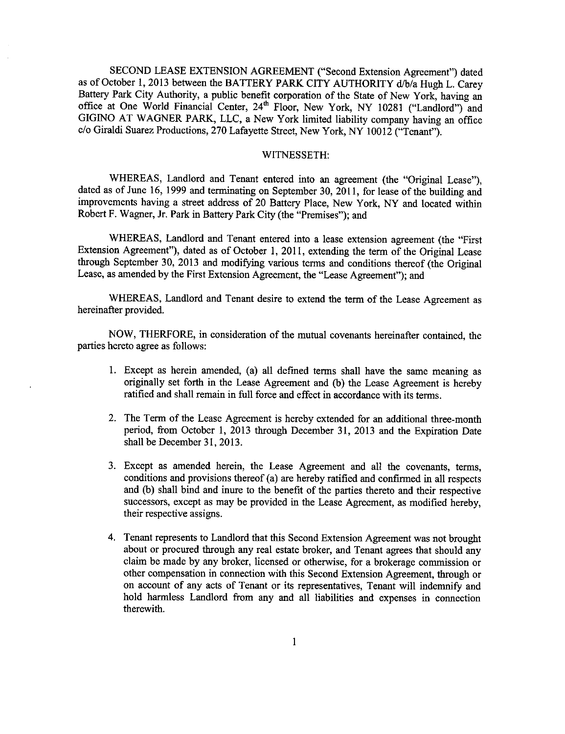SECOND LEASE EXTENSION AGREEMENT ("Second Extension Agreement") dated as of October !, 2013 between **the** BATTERY PARK CITY AUTHORITY d/b/a Hugh L. Carey Battery Park City Authority, a public benefit corporation of the State of New York, having an office at One World Financial Center, 24<sup>th</sup> Floor, New York, NY 10281 ("Landlord") and GIGINO AT WAGNER PARK, LLC, a New York limited liability company having an office c/o Giraldi Suarez Productions, 270 Lafayette Street, New York, NY 10012 ("Tenant").

## WITNESSETH:

WHEREAS, Landlord and Tenant entered into an agreement (the "Original Lease"), dated as of June 16, 1999 and terminating on September 30, 2011, for lease of the building and improvements having a street address of 20 Battery Place, New York, NY and located within Robert F. Wagner, Jr. Park in Battery Park City (the "Premises"); and

WHEREAS, Landlord and Tenant entered into a lease extension agreement (the "First Extension Agreement"), dated as of October 1,2011, extending the term of the Original Lease through September 30, 2013 and modifying various terms and conditions thereof (the Original Lease, as amended by the First Extension Agreement, the "Lease Agreement"); and

WHEREAS, Landlord and Tenant desire to extend the term **of** the Lease Agreement as hereinafter provided.

NOW, THERFORE, in consideration of the mutual covenants hereinafter contained, the parties hereto agree as follows:

- 1. Except as herein amended, (a) all defmed terms shall have the same meaning as originally set forth in the Lease Agreement and (b) the Lease Agreement is hereby ratified and shall remain in full force and effect in accordance with its terms.
- 2. The Term of the Lease Agreement is hereby extended for an additional three-month period, from October 1, 2013 through December 31, 2013 and the Expiration Date shall be December 31, 2013.
- , Except as amended herein, the Lease Agreement and all the covenants, terms, conditions and provisions thereof (a) are hereby ratified and confirmed in all respects and (b) shall bind and inure to the benefit of the parties thereto and their respective successors, except as may be provided in the Lease Agreement, as modified hereby, their respective assigns.
- , Tenant represents to Landlord that this Second Extension Agreement was not brought about or procured through any real estate broker, and Tenant agrees that should any claim be made by any broker, licensed or otherwise, for a brokerage commission or other compensation in connection with this Second Extension Agreement, through or on account of any acts of Tenant or its representatives, Tenant will indemnify and hold harmless Landlord from any and all liabilities and expenses in connection therewith.